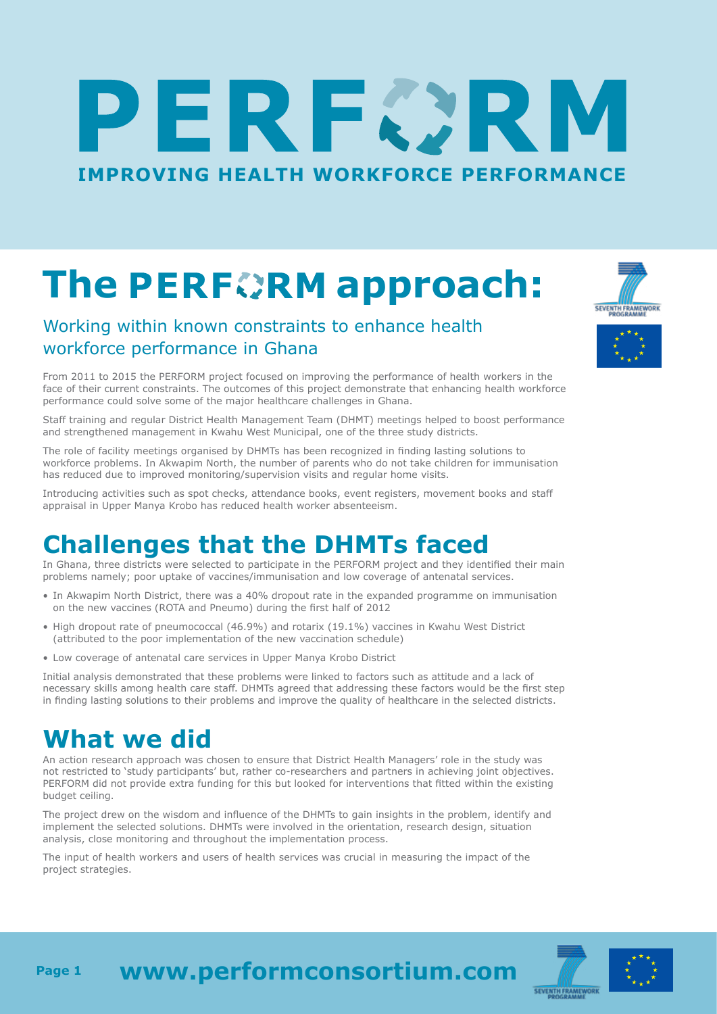# ERFØR **[IMPROVING HEALTH WORKFORCE PERFORMANCE](http://www.performconsortium.com/)**

## **ThePERFORM approach:**

#### Working within known constraints to enhance health workforce performance in Ghana

From 2011 to 2015 the PERFORM project focused on improving the performance of health workers in the face of their current constraints. The outcomes of this project demonstrate that enhancing health workforce performance could solve some of the major healthcare challenges in Ghana.

Staff training and regular District Health Management Team (DHMT) meetings helped to boost performance and strengthened management in Kwahu West Municipal, one of the three study districts.

The role of facility meetings organised by DHMTs has been recognized in finding lasting solutions to workforce problems. In Akwapim North, the number of parents who do not take children for immunisation has reduced due to improved monitoring/supervision visits and regular home visits.

Introducing activities such as spot checks, attendance books, event registers, movement books and staff appraisal in Upper Manya Krobo has reduced health worker absenteeism.

#### **Challenges that the DHMTs faced**

In Ghana, three districts were selected to participate in the PERFORM project and they identified their main problems namely; poor uptake of vaccines/immunisation and low coverage of antenatal services.

- In Akwapim North District, there was a 40% dropout rate in the expanded programme on immunisation on the new vaccines (ROTA and Pneumo) during the first half of 2012
- High dropout rate of pneumococcal (46.9%) and rotarix (19.1%) vaccines in Kwahu West District (attributed to the poor implementation of the new vaccination schedule)
- Low coverage of antenatal care services in Upper Manya Krobo District

Initial analysis demonstrated that these problems were linked to factors such as attitude and a lack of necessary skills among health care staff. DHMTs agreed that addressing these factors would be the first step in finding lasting solutions to their problems and improve the quality of healthcare in the selected districts.

#### **What we did**

An action research approach was chosen to ensure that District Health Managers' role in the study was not restricted to 'study participants' but, rather co-researchers and partners in achieving joint objectives. PERFORM did not provide extra funding for this but looked for interventions that fitted within the existing budget ceiling.

The project drew on the wisdom and influence of the DHMTs to gain insights in the problem, identify and implement the selected solutions. DHMTs were involved in the orientation, research design, situation analysis, close monitoring and throughout the implementation process.

The input of health workers and users of health services was crucial in measuring the impact of the project strategies.





**[www.performconsortium.com](http://www.performconsortium.com/) Page 1**